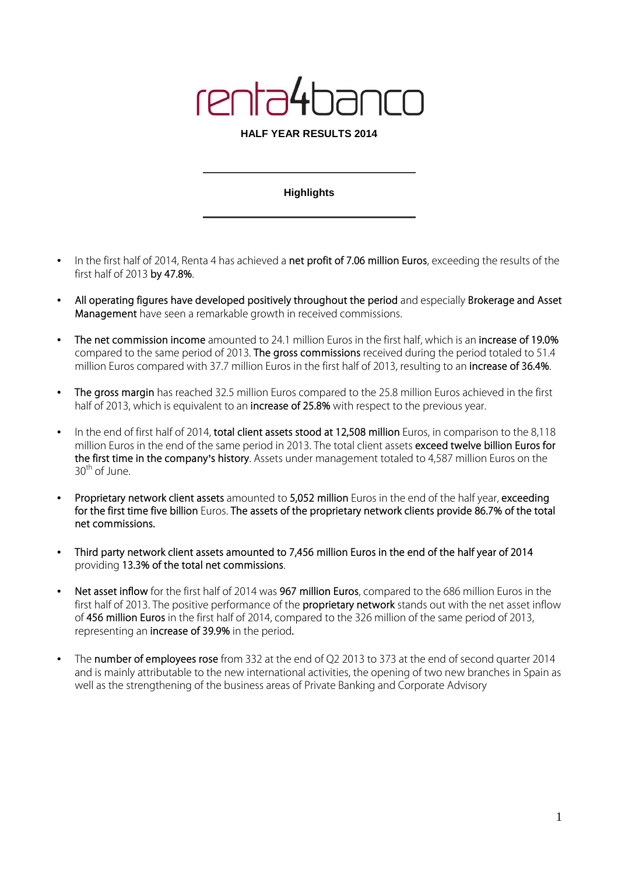# renta41

#### **HALF YEAR RESULTS 2014**

### **Highlights**

- In the first half of 2014, Renta 4 has achieved a **net profit of 7.06 million Euros**, exceeding the results of the first half of 2013 **by 47.8%**.
- **All operating figures have developed positively throughout the period** and especially **Brokerage and Asset Management** have seen a remarkable growth in received commissions.
- **The net commission income** amounted to 24.1 million Euros in the first half, which is an **increase of 19.0%** compared to the same period of 2013. **The gross commissions** received during the period totaled to 51.4 million Euros compared with 37.7 million Euros in the first half of 2013, resulting to an **increase of 36.4%**.
- **The gross margin** has reached 32.5 million Euros compared to the 25.8 million Euros achieved in the first half of 2013, which is equivalent to an **increase of 25.8%** with respect to the previous year.
- In the end of first half of 2014, **total client assets stood at 12,508 million** Euros, in comparison to the 8,118 million Euros in the end of the same period in 2013. The total client assets **exceed twelve billion Euros for the first time in the company's history**. Assets under management totaled to 4,587 million Euros on the  $30<sup>th</sup>$  of June.
- **Proprietary network client assets** amounted to **5,052 million** Euros in the end of the half year, **exceeding for the first time five billion** Euros. **The assets of the proprietary network clients provide 86.7% of the total net commissions.**
- **Third party network client assets amounted to 7,456 million Euros in the end of the half year of 2014** providing **13.3% of the total net commissions**.
- **Net asset inflow** for the first half of 2014 was **967 million Euros**, compared to the 686 million Euros in the first half of 2013. The positive performance of the **proprietary network** stands out with the net asset inflow of **456 million Euros** in the first half of 2014, compared to the 326 million of the same period of 2013, representing an **increase of 39.9%** in the period**.**
- The **number of employees rose** from 332 at the end of Q2 2013 to 373 at the end of second quarter 2014 and is mainly attributable to the new international activities, the opening of two new branches in Spain as well as the strengthening of the business areas of Private Banking and Corporate Advisory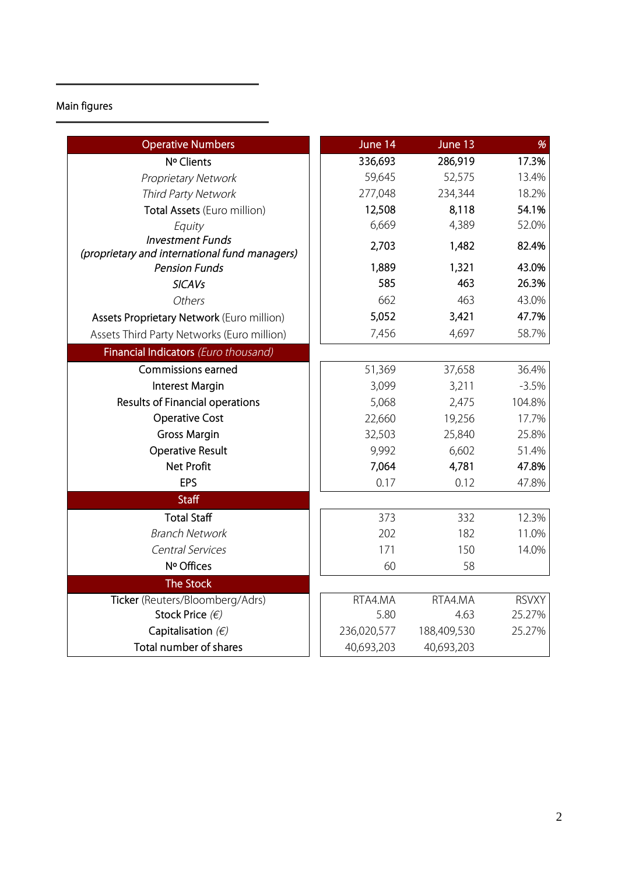## **Main figures**

| <b>Operative Numbers</b>                                                 | June 14     | June 13     | %            |
|--------------------------------------------------------------------------|-------------|-------------|--------------|
| Nº Clients                                                               | 336,693     | 286,919     | 17.3%        |
| Proprietary Network                                                      | 59,645      | 52,575      | 13.4%        |
| Third Party Network                                                      | 277,048     | 234,344     | 18.2%        |
| Total Assets (Euro million)                                              | 12,508      | 8,118       | 54.1%        |
| Equity                                                                   | 6,669       | 4,389       | 52.0%        |
| <b>Investment Funds</b><br>(proprietary and international fund managers) | 2,703       | 1,482       | 82.4%        |
| <b>Pension Funds</b>                                                     | 1,889       | 1,321       | 43.0%        |
| <b>SICAVs</b>                                                            | 585         | 463         | 26.3%        |
| Others                                                                   | 662         | 463         | 43.0%        |
| Assets Proprietary Network (Euro million)                                | 5,052       | 3,421       | 47.7%        |
| Assets Third Party Networks (Euro million)                               | 7,456       | 4,697       | 58.7%        |
| Financial Indicators (Euro thousand)                                     |             |             |              |
| <b>Commissions earned</b>                                                | 51,369      | 37,658      | 36.4%        |
| <b>Interest Margin</b>                                                   | 3,099       | 3,211       | $-3.5%$      |
| Results of Financial operations                                          | 5,068       | 2,475       | 104.8%       |
| <b>Operative Cost</b>                                                    | 22,660      | 19,256      | 17.7%        |
| <b>Gross Margin</b>                                                      | 32,503      | 25,840      | 25.8%        |
| <b>Operative Result</b>                                                  | 9,992       | 6,602       | 51.4%        |
| <b>Net Profit</b>                                                        | 7,064       | 4,781       | 47.8%        |
| EPS                                                                      | 0.17        | 0.12        | 47.8%        |
| <b>Staff</b>                                                             |             |             |              |
| <b>Total Staff</b>                                                       | 373         | 332         | 12.3%        |
| <b>Branch Network</b>                                                    | 202         | 182         | 11.0%        |
| <b>Central Services</b>                                                  | 171         | 150         | 14.0%        |
| Nº Offices                                                               | 60          | 58          |              |
| <b>The Stock</b>                                                         |             |             |              |
| Ticker (Reuters/Bloomberg/Adrs)                                          | RTA4.MA     | RTA4.MA     | <b>RSVXY</b> |
| Stock Price $(\epsilon)$                                                 | 5.80        | 4.63        | 25.27%       |
| Capitalisation $(E)$                                                     | 236,020,577 | 188,409,530 | 25.27%       |
| Total number of shares                                                   | 40,693,203  | 40,693,203  |              |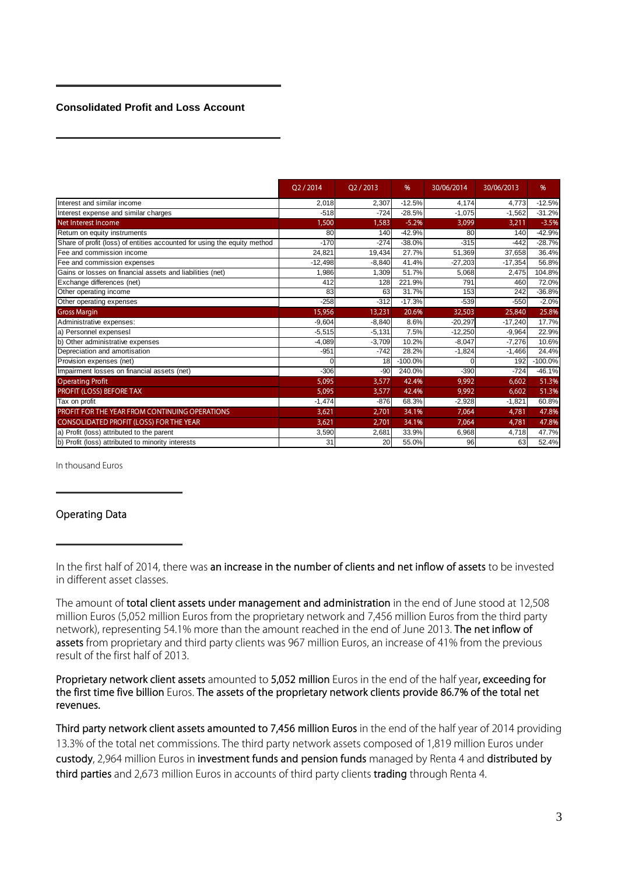#### **Consolidated Profit and Loss Account**

|                                                                          | O2/2014   | O <sub>2</sub> /2013 | %         | 30/06/2014 | 30/06/2013 | %         |
|--------------------------------------------------------------------------|-----------|----------------------|-----------|------------|------------|-----------|
| Interest and similar income                                              | 2,018     | 2,307                | $-12.5%$  | 4,174      | 4,773      | $-12.5%$  |
| Interest expense and similar charges                                     | $-518$    | $-724$               | $-28.5%$  | $-1.075$   | $-1.562$   | $-31.2%$  |
| Net Interest Income                                                      | 1,500     | 1,583                | $-5.2%$   | 3,099      | 3,211      | $-3.5%$   |
| Return on equity instruments                                             | 80        | 140                  | $-42.9%$  | 80         | 140        | $-42.9%$  |
| Share of profit (loss) of entities accounted for using the equity method | $-170$    | $-274$               | $-38.0%$  | $-315$     | $-442$     | $-28.7%$  |
| Fee and commission income                                                | 24,821    | 19,434               | 27.7%     | 51,369     | 37,658     | 36.4%     |
| Fee and commission expenses                                              | $-12,498$ | $-8.840$             | 41.4%     | $-27,203$  | $-17,354$  | 56.8%     |
| Gains or losses on financial assets and liabilities (net)                | 1,986     | 1.309                | 51.7%     | 5,068      | 2,475      | 104.8%    |
| Exchange differences (net)                                               | 412       | 128                  | 221.9%    | 791        | 460        | 72.0%     |
| Other operating income                                                   | 83        | 63                   | 31.7%     | 153        | 242        | $-36.8%$  |
| Other operating expenses                                                 | $-258$    | $-312$               | $-17.3%$  | $-539$     | $-550$     | $-2.0%$   |
| <b>Gross Margin</b>                                                      | 15,956    | 13,231               | 20.6%     | 32,503     | 25,840     | 25.8%     |
| Administrative expenses:                                                 | $-9,604$  | $-8,840$             | 8.6%      | $-20,297$  | $-17,240$  | 17.7%     |
| a) Personnel expensesl                                                   | $-5.515$  | $-5,131$             | 7.5%      | $-12,250$  | $-9,964$   | 22.9%     |
| b) Other administrative expenses                                         | $-4.089$  | $-3.709$             | 10.2%     | $-8.047$   | $-7,276$   | 10.6%     |
| Depreciation and amortisation                                            | $-951$    | $-742$               | 28.2%     | $-1,824$   | $-1,466$   | 24.4%     |
| Provision expenses (net)                                                 |           | 18                   | $-100.0%$ |            | 192        | $-100.0%$ |
| Impairment losses on financial assets (net)                              | $-306$    | $-90$                | 240.0%    | $-390$     | $-724$     | $-46.1%$  |
| <b>Operating Profit</b>                                                  | 5,095     | 3,577                | 42.4%     | 9,992      | 6,602      | 51.3%     |
| PROFIT (LOSS) BEFORE TAX                                                 | 5,095     | 3,577                | 42.4%     | 9,992      | 6,602      | 51.3%     |
| Tax on profit                                                            | $-1,474$  | $-876$               | 68.3%     | $-2,928$   | $-1,821$   | 60.8%     |
| PROFIT FOR THE YEAR FROM CONTINUING OPERATIONS                           | 3,621     | 2,701                | 34.1%     | 7,064      | 4,781      | 47.8%     |
| CONSOLIDATED PROFIT (LOSS) FOR THE YEAR                                  | 3,621     | 2,701                | 34.1%     | 7,064      | 4,781      | 47.8%     |
| a) Profit (loss) attributed to the parent                                | 3,590     | 2,681                | 33.9%     | 6,968      | 4,718      | 47.7%     |
| b) Profit (loss) attributed to minority interests                        | 31        | 20                   | 55.0%     | 96         | 63         | 52.4%     |

In thousand Euros

#### **Operating Data**

In the first half of 2014, there was **an increase in the number of clients and net inflow of assets** to be invested in different asset classes.

The amount of **total client assets under management and administration** in the end of June stood at 12,508 million Euros (5,052 million Euros from the proprietary network and 7,456 million Euros from the third party network), representing 54.1% more than the amount reached in the end of June 2013. **The net inflow of assets** from proprietary and third party clients was 967 million Euros, an increase of 41% from the previous result of the first half of 2013.

**Proprietary network client assets** amounted to **5,052 million** Euros in the end of the half year**, exceeding for the first time five billion** Euros. **The assets of the proprietary network clients provide 86.7% of the total net revenues.**

**Third party network client assets amounted to 7,456 million Euros** in the end of the half year of 2014 providing 13.3% of the total net commissions. The third party network assets composed of 1,819 million Euros under **custody**, 2,964 million Euros in **investment funds and pension funds** managed by Renta 4 and **distributed by third parties** and 2,673 million Euros in accounts of third party clients **trading** through Renta 4.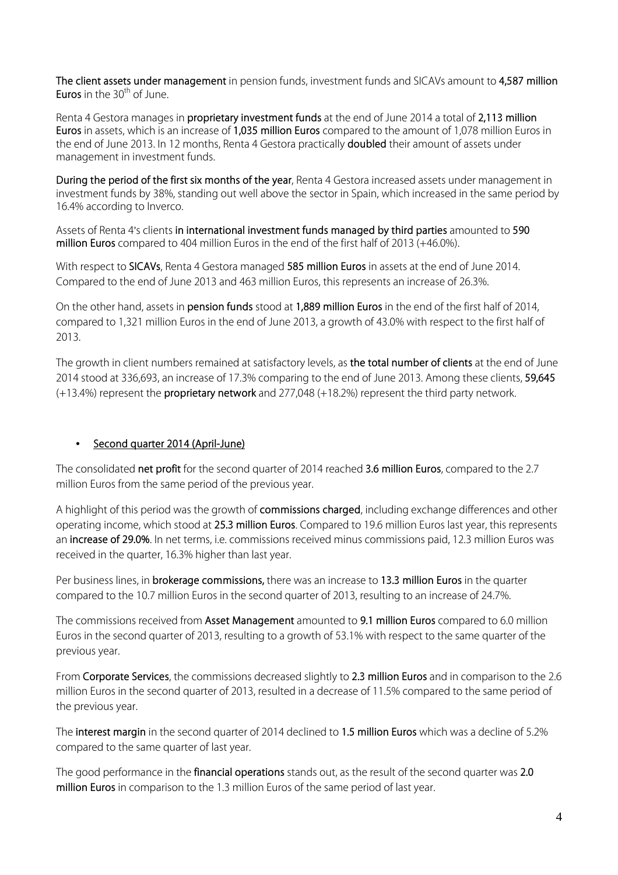**The client assets under management** in pension funds, investment funds and SICAVs amount to **4,587 million Euros** in the 30<sup>th</sup> of June.

Renta 4 Gestora manages in **proprietary investment funds** at the end of June 2014 a total of **2,113 million Euros** in assets, which is an increase of **1,035 million Euros** compared to the amount of 1,078 million Euros in the end of June 2013. In 12 months, Renta 4 Gestora practically **doubled** their amount of assets under management in investment funds.

**During the period of the first six months of the year**, Renta 4 Gestora increased assets under management in investment funds by 38%, standing out well above the sector in Spain, which increased in the same period by 16.4% according to Inverco.

Assets of Renta 4's clients **in international investment funds managed by third parties** amounted to **590 million Euros** compared to 404 million Euros in the end of the first half of 2013 (+46.0%).

With respect to **SICAVs**, Renta 4 Gestora managed **585 million Euros** in assets at the end of June 2014. Compared to the end of June 2013 and 463 million Euros, this represents an increase of 26.3%.

On the other hand, assets in **pension funds** stood at **1,889 million Euros** in the end of the first half of 2014, compared to 1,321 million Euros in the end of June 2013, a growth of 43.0% with respect to the first half of 2013.

The growth in client numbers remained at satisfactory levels, as **the total number of clients** at the end of June 2014 stood at 336,693, an increase of 17.3% comparing to the end of June 2013. Among these clients, **59,645** (+13.4%) represent the **proprietary network** and 277,048 (+18.2%) represent the third party network.

## • **Second quarter 2014 (April-June)**

The consolidated **net profit** for the second quarter of 2014 reached **3.6 million Euros**, compared to the 2.7 million Euros from the same period of the previous year.

A highlight of this period was the growth of **commissions charged**, including exchange differences and other operating income, which stood at **25.3 million Euros**. Compared to 19.6 million Euros last year, this represents an **increase of 29.0%**. In net terms, i.e. commissions received minus commissions paid, 12.3 million Euros was received in the quarter, 16.3% higher than last year.

Per business lines, in **brokerage commissions,** there was an increase to **13.3 million Euros** in the quarter compared to the 10.7 million Euros in the second quarter of 2013, resulting to an increase of 24.7%.

The commissions received from **Asset Management** amounted to **9.1 million Euros** compared to 6.0 million Euros in the second quarter of 2013, resulting to a growth of 53.1% with respect to the same quarter of the previous year.

From **Corporate Services**, the commissions decreased slightly to **2.3 million Euros** and in comparison to the 2.6 million Euros in the second quarter of 2013, resulted in a decrease of 11.5% compared to the same period of the previous year.

The **interest margin** in the second quarter of 2014 declined to **1.5 million Euros** which was a decline of 5.2% compared to the same quarter of last year.

The good performance in the **financial operations** stands out, as the result of the second quarter was **2.0 million Euros** in comparison to the 1.3 million Euros of the same period of last year.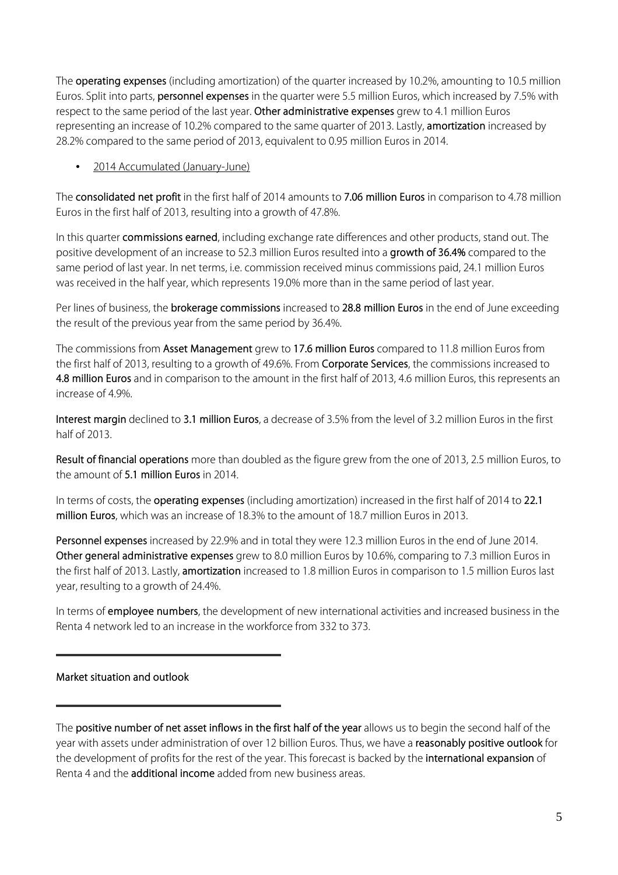The **operating expenses** (including amortization) of the quarter increased by 10.2%, amounting to 10.5 million Euros. Split into parts, **personnel expenses** in the quarter were 5.5 million Euros, which increased by 7.5% with respect to the same period of the last year. **Other administrative expenses** grew to 4.1 million Euros representing an increase of 10.2% compared to the same quarter of 2013. Lastly, **amortization** increased by 28.2% compared to the same period of 2013, equivalent to 0.95 million Euros in 2014.

## • 2014 Accumulated (January-June)

The **consolidated net profit** in the first half of 2014 amounts to **7.06 million Euros** in comparison to 4.78 million Euros in the first half of 2013, resulting into a growth of 47.8%.

In this quarter **commissions earned**, including exchange rate differences and other products, stand out. The positive development of an increase to 52.3 million Euros resulted into a **growth of 36.4%** compared to the same period of last year. In net terms, i.e. commission received minus commissions paid, 24.1 million Euros was received in the half year, which represents 19.0% more than in the same period of last year.

Per lines of business, the **brokerage commissions** increased to **28.8 million Euros** in the end of June exceeding the result of the previous year from the same period by 36.4%.

The commissions from **Asset Management** grew to **17.6 million Euros** compared to 11.8 million Euros from the first half of 2013, resulting to a growth of 49.6%. From **Corporate Services**, the commissions increased to **4.8 million Euros** and in comparison to the amount in the first half of 2013, 4.6 million Euros, this represents an increase of 4.9%.

**Interest margin** declined to **3.1 million Euros**, a decrease of 3.5% from the level of 3.2 million Euros in the first half of 2013.

**Result of financial operations** more than doubled as the figure grew from the one of 2013, 2.5 million Euros, to the amount of **5.1 million Euros** in 2014.

In terms of costs, the **operating expenses** (including amortization) increased in the first half of 2014 to **22.1 million Euros**, which was an increase of 18.3% to the amount of 18.7 million Euros in 2013.

**Personnel expenses** increased by 22.9% and in total they were 12.3 million Euros in the end of June 2014. **Other general administrative expenses** grew to 8.0 million Euros by 10.6%, comparing to 7.3 million Euros in the first half of 2013. Lastly, **amortization** increased to 1.8 million Euros in comparison to 1.5 million Euros last year, resulting to a growth of 24.4%.

In terms of **employee numbers**, the development of new international activities and increased business in the Renta 4 network led to an increase in the workforce from 332 to 373.

## **Market situation and outlook**

The **positive number of net asset inflows in the first half of the year** allows us to begin the second half of the year with assets under administration of over 12 billion Euros. Thus, we have a **reasonably positive outlook** for the development of profits for the rest of the year. This forecast is backed by the **international expansion** of Renta 4 and the **additional income** added from new business areas.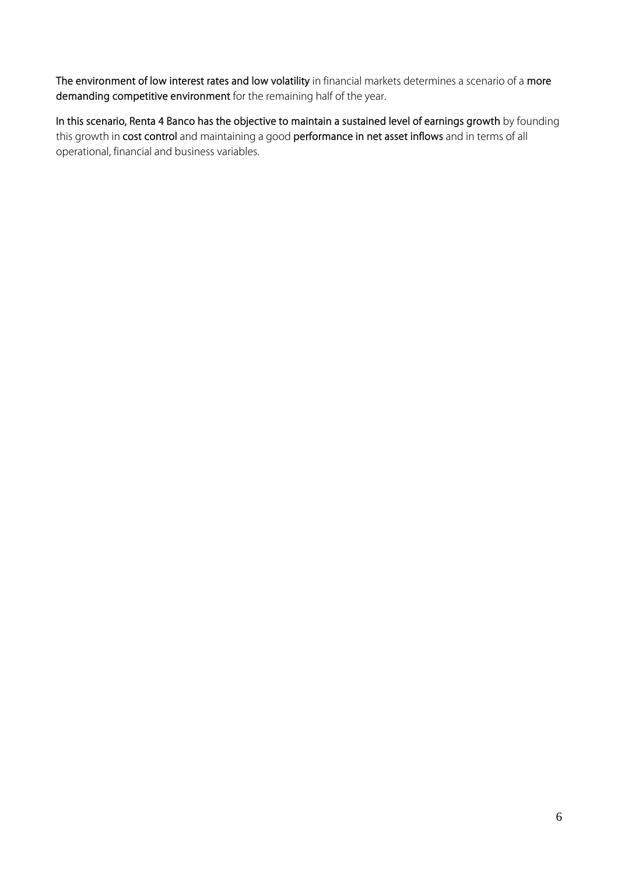**The environment of low interest rates and low volatility** in financial markets determines a scenario of a **more demanding competitive environment** for the remaining half of the year.

**In this scenario, Renta 4 Banco has the objective to maintain a sustained level of earnings growth** by founding this growth in **cost control** and maintaining a good **performance in net asset inflows** and in terms of all operational, financial and business variables.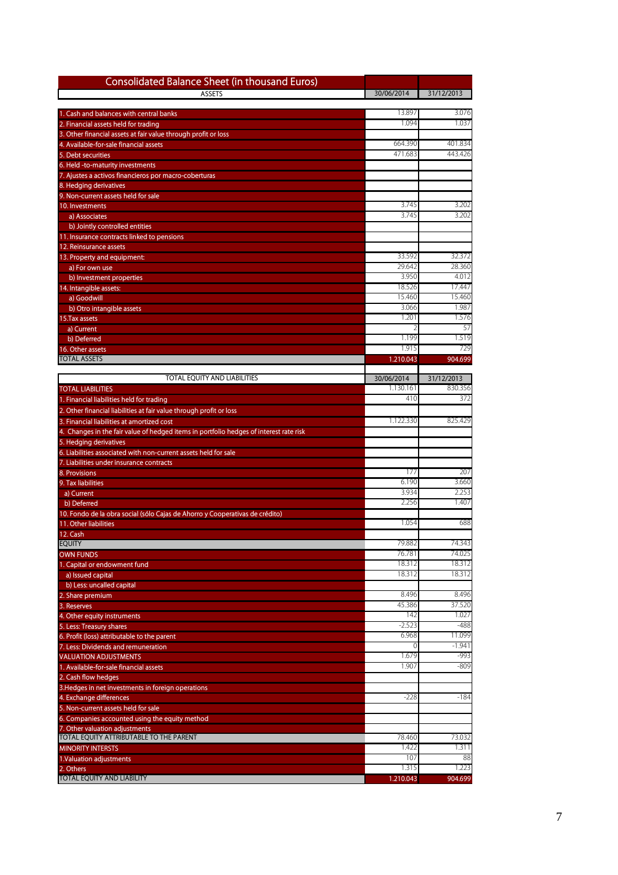| Consolidated Balance Sheet (in thousand Euros)                                                                    |                    |                  |
|-------------------------------------------------------------------------------------------------------------------|--------------------|------------------|
| <b>ASSETS</b>                                                                                                     | 30/06/2014         | 31/12/2013       |
| . Cash and balances with central banks                                                                            | 13.897             | 3.076            |
| 2. Financial assets held for trading                                                                              | 1.094              | 1.037            |
| Other financial assets at fair value through profit or loss                                                       |                    |                  |
| 4. Available-for-sale financial assets                                                                            | 664.390            | 401.834          |
| 5. Debt securities                                                                                                | 471.683            | 443.426          |
| 6. Held -to-maturity investments<br>7. Ajustes a activos financieros por macro-coberturas                         |                    |                  |
| 8. Hedging derivatives                                                                                            |                    |                  |
| 9. Non-current assets held for sale                                                                               |                    |                  |
| 10. Investments                                                                                                   | 3.745<br>3.745     | 3.202<br>3.202   |
| a) Associates<br>b) Jointly controlled entities                                                                   |                    |                  |
| 1. Insurance contracts linked to pensions                                                                         |                    |                  |
| 12. Reinsurance assets                                                                                            |                    |                  |
| 13. Property and equipment:                                                                                       | 33.592             | 32.372           |
| a) For own use                                                                                                    | 29.642             | 28.360           |
| b) Investment properties<br>14. Intangible assets:                                                                | 3.950<br>18.526    | 4.012<br>17.447  |
| a) Goodwill                                                                                                       | 15.460             | 15.460           |
| b) Otro intangible assets                                                                                         | 3.066              | 1.987            |
| 15. Tax assets                                                                                                    | 1.201              | 1.576            |
| a) Current                                                                                                        |                    | 57               |
| b) Deferred                                                                                                       | 1.199              | 1.519            |
| <b>16. Other assets</b><br><b>TOTAL ASSETS</b>                                                                    | 1.915<br>1.210.043 | 729<br>904.699   |
|                                                                                                                   |                    |                  |
| TOTAL EQUITY AND LIABILITIES                                                                                      | 30/06/2014         | 31/12/2013       |
| <b>TOTAL LIABILITIES</b>                                                                                          | 1.130.161          | 830.356          |
| 1. Financial liabilities held for trading                                                                         | 410                | 372              |
| 2. Other financial liabilities at fair value through profit or loss<br>3. Financial liabilities at amortized cost | 1.122.330          | 825.429          |
| Changes in the fair value of hedged items in portfolio hedges of interest rate risk                               |                    |                  |
| 5. Hedging derivatives                                                                                            |                    |                  |
| 6. Liabilities associated with non-current assets held for sale                                                   |                    |                  |
| 7. Liabilities under insurance contracts                                                                          |                    |                  |
| 8. Provisions                                                                                                     | 177<br>6.190       | 207<br>3.660     |
| 9. Tax liabilities<br>a) Current                                                                                  | 3.934              | 2.253            |
| b) Deferred                                                                                                       | 2.256              | 1.407            |
| 10. Fondo de la obra social (sólo Cajas de Ahorro y Cooperativas de crédito)                                      |                    |                  |
| 11. Other liabilities                                                                                             | 1.054              | 688              |
| 12. Cash                                                                                                          |                    |                  |
| <b>EQUITY</b><br><b>OWN FUNDS</b>                                                                                 | 79.882<br>76.781   | 74.343<br>74.025 |
| . Capital or endowment fund                                                                                       | 18.312             | 18.312           |
| a) Issued capital                                                                                                 | 18.312             | 18.312           |
| b) Less: uncalled capital                                                                                         |                    |                  |
| . Share premium                                                                                                   | 8.496              | 8.496            |
| 3. Reserves<br>4. Other equity instruments                                                                        | 45.386<br>142      | 37.520<br>1.027  |
| 5. Less: Treasury shares                                                                                          | $-2.523$           | $-488$           |
| 6. Profit (loss) attributable to the parent                                                                       | 6.968              | 11.099           |
| 7. Less: Dividends and remuneration                                                                               | 0                  | $-1.941$         |
| <b>VALUATION ADJUSTMENTS</b>                                                                                      | 1.679              | $-993$           |
| 1. Available-for-sale financial assets                                                                            | 1.907              | $-809$           |
| 2. Cash flow hedges<br>3. Hedges in net investments in foreign operations                                         |                    |                  |
| 4. Exchange differences                                                                                           | $-228$             | $-184$           |
| 5. Non-current assets held for sale                                                                               |                    |                  |
| 6. Companies accounted using the equity method                                                                    |                    |                  |
| Other valuation adjustments                                                                                       |                    |                  |
| <b>TOTAL EQUITY ATTRIBUTABLE TO THE PARENT</b>                                                                    | 78.460<br>1.422    | 73.032<br>1.311  |
| <b>MINORITY INTERSTS</b><br>1.Valuation adjustments                                                               | 107                | 88               |
| 2. Others                                                                                                         | 1.315              | 1.223            |
| <b>TOTAL EQUITY AND LIABILITY</b>                                                                                 | 1.210.043          | 904.699          |